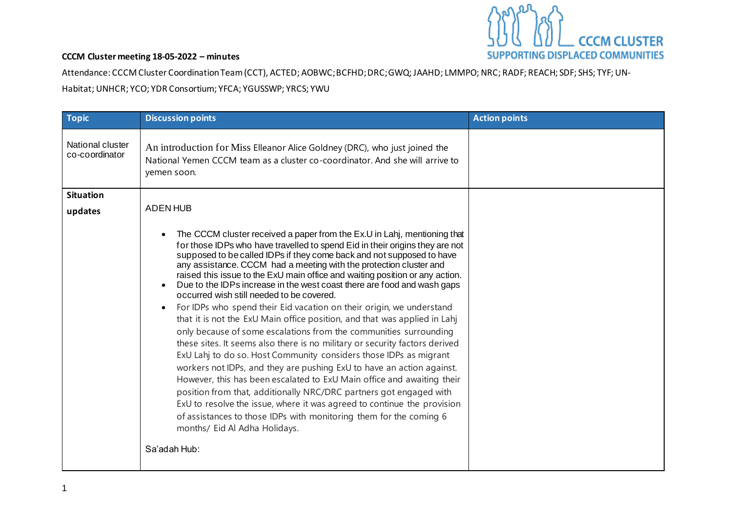

Attendance: CCCM Cluster Coordination Team (CCT), ACTED; AOBWC; BCFHD; DRC; GWQ; JAAHD; LMMPO; NRC; RADF; REACH; SDF; SHS; TYF; UN-

Habitat; UNHCR; YCO; YDR Consortium; YFCA; YGUSSWP; YRCS; YWU

| <b>Topic</b>                       | <b>Discussion points</b>                                                                                                                                                                                                                                                                                                                                                                                                                                                                                                                                                                                                                                                                                                                                                                                                                                                                                                                                                                                                                                                                                                                                                                                                                                                                                                                           | <b>Action points</b> |
|------------------------------------|----------------------------------------------------------------------------------------------------------------------------------------------------------------------------------------------------------------------------------------------------------------------------------------------------------------------------------------------------------------------------------------------------------------------------------------------------------------------------------------------------------------------------------------------------------------------------------------------------------------------------------------------------------------------------------------------------------------------------------------------------------------------------------------------------------------------------------------------------------------------------------------------------------------------------------------------------------------------------------------------------------------------------------------------------------------------------------------------------------------------------------------------------------------------------------------------------------------------------------------------------------------------------------------------------------------------------------------------------|----------------------|
| National cluster<br>co-coordinator | An introduction for Miss Elleanor Alice Goldney (DRC), who just joined the<br>National Yemen CCCM team as a cluster co-coordinator. And she will arrive to<br>yemen soon.                                                                                                                                                                                                                                                                                                                                                                                                                                                                                                                                                                                                                                                                                                                                                                                                                                                                                                                                                                                                                                                                                                                                                                          |                      |
| <b>Situation</b>                   |                                                                                                                                                                                                                                                                                                                                                                                                                                                                                                                                                                                                                                                                                                                                                                                                                                                                                                                                                                                                                                                                                                                                                                                                                                                                                                                                                    |                      |
| updates                            | <b>ADEN HUB</b>                                                                                                                                                                                                                                                                                                                                                                                                                                                                                                                                                                                                                                                                                                                                                                                                                                                                                                                                                                                                                                                                                                                                                                                                                                                                                                                                    |                      |
|                                    | The CCCM cluster received a paper from the Ex.U in Lahj, mentioning that<br>$\bullet$<br>for those IDPs who have travelled to spend Eid in their origins they are not<br>supposed to be called IDPs if they come back and not supposed to have<br>any assistance. CCCM had a meeting with the protection cluster and<br>raised this issue to the ExU main office and waiting position or any action.<br>Due to the IDPs increase in the west coast there are food and wash gaps<br>$\bullet$<br>occurred wish still needed to be covered.<br>For IDPs who spend their Eid vacation on their origin, we understand<br>that it is not the ExU Main office position, and that was applied in Lahj<br>only because of some escalations from the communities surrounding<br>these sites. It seems also there is no military or security factors derived<br>ExU Lahj to do so. Host Community considers those IDPs as migrant<br>workers not IDPs, and they are pushing ExU to have an action against.<br>However, this has been escalated to ExU Main office and awaiting their<br>position from that, additionally NRC/DRC partners got engaged with<br>ExU to resolve the issue, where it was agreed to continue the provision<br>of assistances to those IDPs with monitoring them for the coming 6<br>months/ Eid Al Adha Holidays.<br>Sa'adah Hub: |                      |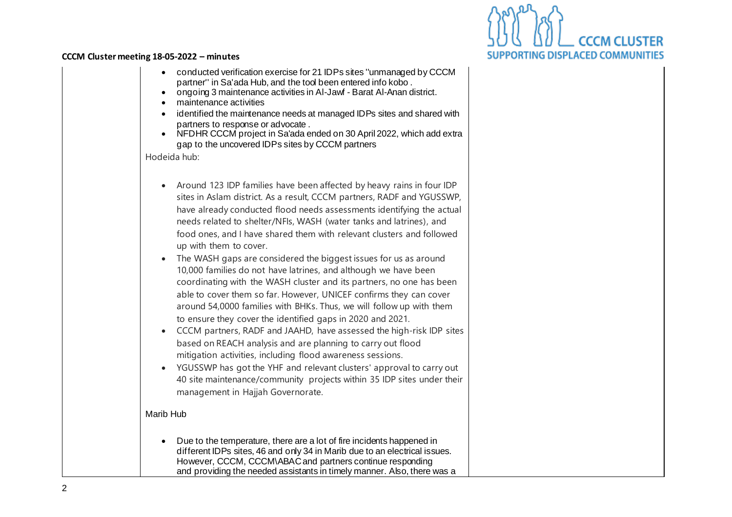

| $\bullet$<br>٠<br>$\bullet$         | conducted verification exercise for 21 IDPs sites "unmanaged by CCCM<br>partner" in Sa'ada Hub, and the tool been entered info kobo.<br>ongoing 3 maintenance activities in Al-Jawf - Barat Al-Anan district.<br>maintenance activities                                                                                                                                                                                                                                                                                                                                                                                                                                                                                                                                                                                                                                                                                                                                                                                                                                                                                                                                                                                   |
|-------------------------------------|---------------------------------------------------------------------------------------------------------------------------------------------------------------------------------------------------------------------------------------------------------------------------------------------------------------------------------------------------------------------------------------------------------------------------------------------------------------------------------------------------------------------------------------------------------------------------------------------------------------------------------------------------------------------------------------------------------------------------------------------------------------------------------------------------------------------------------------------------------------------------------------------------------------------------------------------------------------------------------------------------------------------------------------------------------------------------------------------------------------------------------------------------------------------------------------------------------------------------|
| $\bullet$<br>$\bullet$              | identified the maintenance needs at managed IDPs sites and shared with<br>partners to response or advocate.<br>NFDHR CCCM project in Sa'ada ended on 30 April 2022, which add extra<br>gap to the uncovered IDPs sites by CCCM partners                                                                                                                                                                                                                                                                                                                                                                                                                                                                                                                                                                                                                                                                                                                                                                                                                                                                                                                                                                                   |
|                                     | Hodeida hub:                                                                                                                                                                                                                                                                                                                                                                                                                                                                                                                                                                                                                                                                                                                                                                                                                                                                                                                                                                                                                                                                                                                                                                                                              |
| $\bullet$<br>$\bullet$<br>$\bullet$ | Around 123 IDP families have been affected by heavy rains in four IDP<br>sites in Aslam district. As a result, CCCM partners, RADF and YGUSSWP,<br>have already conducted flood needs assessments identifying the actual<br>needs related to shelter/NFIs, WASH (water tanks and latrines), and<br>food ones, and I have shared them with relevant clusters and followed<br>up with them to cover.<br>The WASH gaps are considered the biggest issues for us as around<br>10,000 families do not have latrines, and although we have been<br>coordinating with the WASH cluster and its partners, no one has been<br>able to cover them so far. However, UNICEF confirms they can cover<br>around 54,0000 families with BHKs. Thus, we will follow up with them<br>to ensure they cover the identified gaps in 2020 and 2021.<br>CCCM partners, RADF and JAAHD, have assessed the high-risk IDP sites<br>based on REACH analysis and are planning to carry out flood<br>mitigation activities, including flood awareness sessions.<br>YGUSSWP has got the YHF and relevant clusters' approval to carry out<br>40 site maintenance/community projects within 35 IDP sites under their<br>management in Hajjah Governorate. |
| Marib Hub                           |                                                                                                                                                                                                                                                                                                                                                                                                                                                                                                                                                                                                                                                                                                                                                                                                                                                                                                                                                                                                                                                                                                                                                                                                                           |
|                                     | Due to the temperature, there are a lot of fire incidents happened in<br>different IDPs sites, 46 and only 34 in Marib due to an electrical issues.<br>However, CCCM, CCCM\ABAC and partners continue responding<br>and providing the needed assistants in timely manner. Also, there was a                                                                                                                                                                                                                                                                                                                                                                                                                                                                                                                                                                                                                                                                                                                                                                                                                                                                                                                               |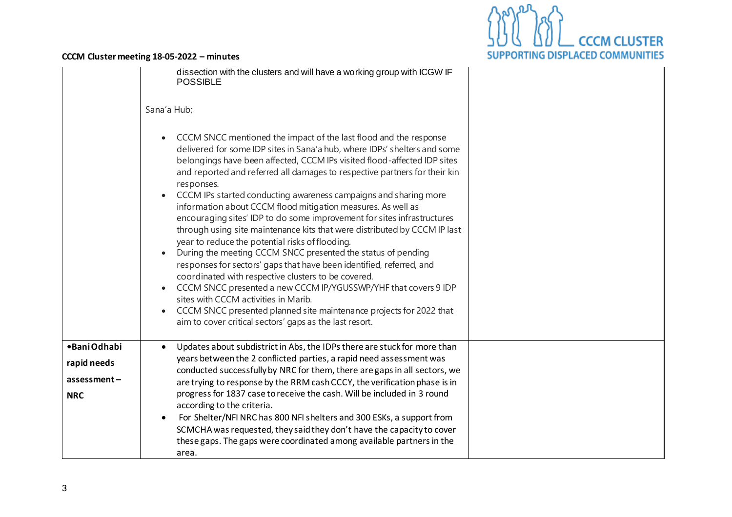

|                                                          | dissection with the clusters and will have a working group with ICGW IF<br><b>POSSIBLE</b><br>Sana'a Hub;<br>CCCM SNCC mentioned the impact of the last flood and the response<br>delivered for some IDP sites in Sana'a hub, where IDPs' shelters and some<br>belongings have been affected, CCCM IPs visited flood-affected IDP sites<br>and reported and referred all damages to respective partners for their kin<br>responses.<br>CCCM IPs started conducting awareness campaigns and sharing more<br>information about CCCM flood mitigation measures. As well as<br>encouraging sites' IDP to do some improvement for sites infrastructures<br>through using site maintenance kits that were distributed by CCCM IP last<br>year to reduce the potential risks of flooding.<br>During the meeting CCCM SNCC presented the status of pending<br>responses for sectors' gaps that have been identified, referred, and<br>coordinated with respective clusters to be covered.<br>CCCM SNCC presented a new CCCM IP/YGUSSWP/YHF that covers 9 IDP<br>sites with CCCM activities in Marib.<br>CCCM SNCC presented planned site maintenance projects for 2022 that<br>aim to cover critical sectors' gaps as the last resort. |  |
|----------------------------------------------------------|--------------------------------------------------------------------------------------------------------------------------------------------------------------------------------------------------------------------------------------------------------------------------------------------------------------------------------------------------------------------------------------------------------------------------------------------------------------------------------------------------------------------------------------------------------------------------------------------------------------------------------------------------------------------------------------------------------------------------------------------------------------------------------------------------------------------------------------------------------------------------------------------------------------------------------------------------------------------------------------------------------------------------------------------------------------------------------------------------------------------------------------------------------------------------------------------------------------------------------|--|
| •BaniOdhabi<br>rapid needs<br>assessment –<br><b>NRC</b> | Updates about subdistrict in Abs, the IDPs there are stuck for more than<br>years between the 2 conflicted parties, a rapid need assessment was<br>conducted successfully by NRC for them, there are gaps in all sectors, we<br>are trying to response by the RRM cash CCCY, the verification phase is in<br>progress for 1837 case to receive the cash. Will be included in 3 round<br>according to the criteria.<br>For Shelter/NFI NRC has 800 NFI shelters and 300 ESKs, a support from<br>SCMCHA was requested, they said they don't have the capacity to cover<br>these gaps. The gaps were coordinated among available partners in the<br>area.                                                                                                                                                                                                                                                                                                                                                                                                                                                                                                                                                                         |  |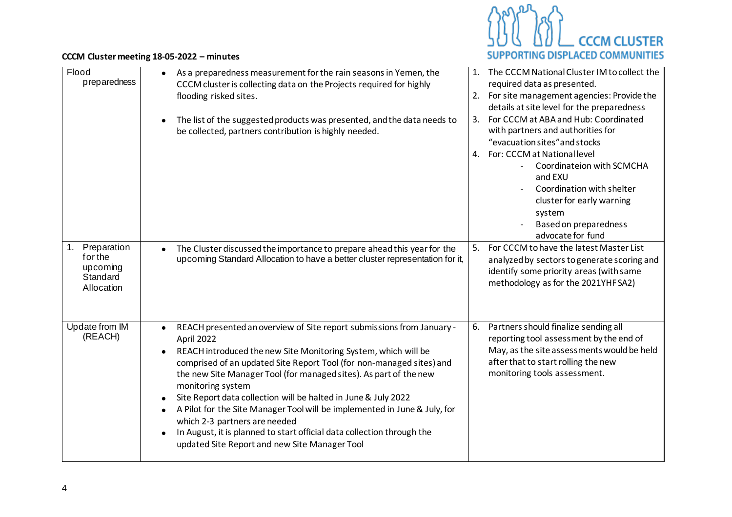| Flood<br>preparedness                                        | As a preparedness measurement for the rain seasons in Yemen, the<br>$\bullet$<br>CCCM cluster is collecting data on the Projects required for highly<br>flooding risked sites.<br>The list of the suggested products was presented, and the data needs to<br>$\bullet$<br>be collected, partners contribution is highly needed.                                                                                                                                                                                                                                                                                                                                                                     | The CCCM National Cluster IM to collect the<br>1.<br>required data as presented.<br>2. For site management agencies: Provide the<br>details at site level for the preparedness<br>For CCCM at ABA and Hub: Coordinated<br>3.<br>with partners and authorities for<br>"evacuation sites" and stocks<br>4. For: CCCM at National level<br>Coordinateion with SCMCHA<br>and EXU<br>Coordination with shelter<br>cluster for early warning<br>system<br>Based on preparedness<br>advocate for fund |
|--------------------------------------------------------------|-----------------------------------------------------------------------------------------------------------------------------------------------------------------------------------------------------------------------------------------------------------------------------------------------------------------------------------------------------------------------------------------------------------------------------------------------------------------------------------------------------------------------------------------------------------------------------------------------------------------------------------------------------------------------------------------------------|------------------------------------------------------------------------------------------------------------------------------------------------------------------------------------------------------------------------------------------------------------------------------------------------------------------------------------------------------------------------------------------------------------------------------------------------------------------------------------------------|
| Preparation<br>for the<br>upcoming<br>Standard<br>Allocation | The Cluster discussed the importance to prepare ahead this year for the<br>$\bullet$<br>upcoming Standard Allocation to have a better cluster representation for it,                                                                                                                                                                                                                                                                                                                                                                                                                                                                                                                                | 5.<br>For CCCM to have the latest Master List<br>analyzed by sectors to generate scoring and<br>identify some priority areas (with same<br>methodology as for the 2021YHF SA2)                                                                                                                                                                                                                                                                                                                 |
| <b>Update from IM</b><br>(REACH)                             | REACH presented an overview of Site report submissions from January -<br>$\bullet$<br>April 2022<br>REACH introduced the new Site Monitoring System, which will be<br>$\bullet$<br>comprised of an updated Site Report Tool (for non-managed sites) and<br>the new Site Manager Tool (for managed sites). As part of the new<br>monitoring system<br>Site Report data collection will be halted in June & July 2022<br>$\bullet$<br>A Pilot for the Site Manager Tool will be implemented in June & July, for<br>$\bullet$<br>which 2-3 partners are needed<br>In August, it is planned to start official data collection through the<br>$\bullet$<br>updated Site Report and new Site Manager Tool | Partners should finalize sending all<br>6.<br>reporting tool assessment by the end of<br>May, as the site assessments would be held<br>after that to start rolling the new<br>monitoring tools assessment.                                                                                                                                                                                                                                                                                     |

**BADRA** 

A

**SUPPORTING DISPLACED COMMUNITIES** 

\_<br>\_\_ CCCM CLUSTER